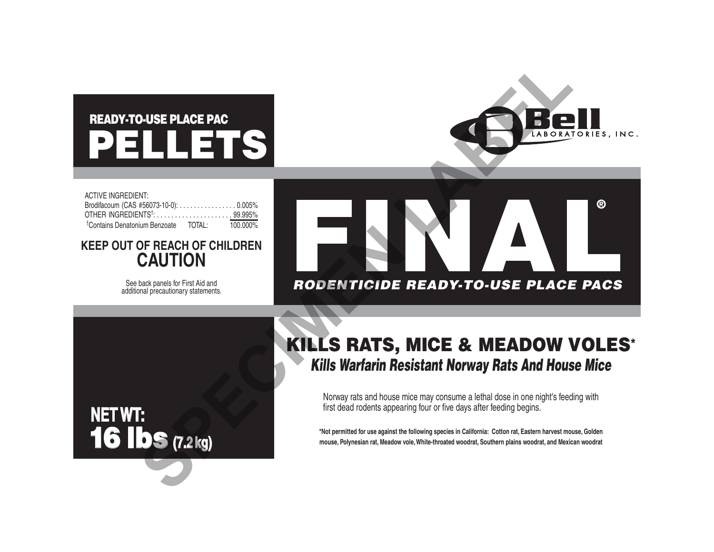# PELLETS READY-TO-USE PLACE PAC



| <b>ACTIVE INGREDIENT:</b>                        |             |
|--------------------------------------------------|-------------|
| Brodifacoum (CAS #56073-10-0): 0.005%            |             |
| OTHER INGREDIENTS <sup>†</sup> : 99.995%         |             |
| <sup>†</sup> Contains Denatonium Benzoate TOTAL: | $100.000\%$ |

## **KEEP OUT OF REACH OF CHILDREN CAUTION**

See back panels for First Aid and additional precautionary statements.

**NET WT:**

16 lbs **(7.2 kg)**



## KILLS RATS, MICE & MEADOW VOLES\* *Kills Warfarin Resistant Norway Rats And House Mice*

Norway rats and house mice may consume a lethal dose in one night's feeding with first dead rodents appearing four or five days after feeding begins.

**\*Not permitted for use against the following species in California: Cotton rat, Eastern harvest mouse, Golden mouse, Polynesian rat, Meadow vole, White-throated woodrat, Southern plains woodrat, and Mexican woodrat**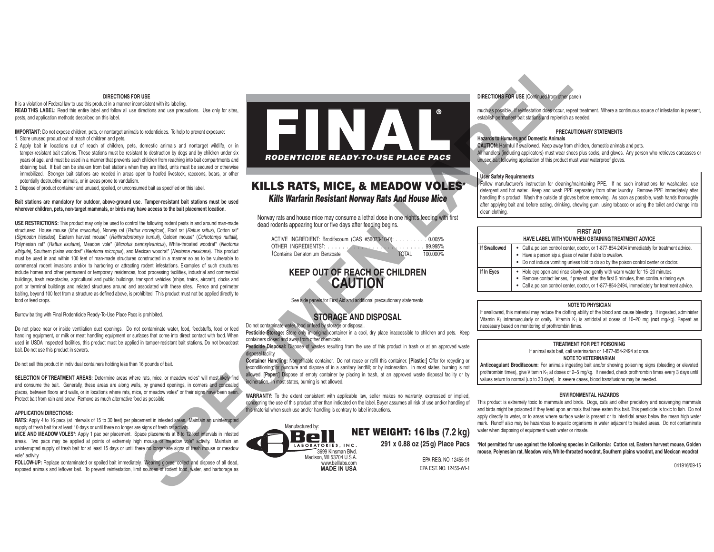#### **DIRECTIONS FOR USE**

It is a violation of Federal law to use this product in a manner inconsistent with its labeling. **READ THIS LABEL:** Read this entire label and follow all use directions and use precautions. Use only for sites, pests, and application methods described on this label.

**IMPORTANT:** Do not expose children, pets, or nontarget animals to rodenticides. To help to prevent exposure: 1. Store unused product out of reach of children and pets.

- 2. Apply bait in locations out of reach of children, pets, domestic animals and nontarget wildlife, or in tamper-resistant bait stations. These stations must be resistant to destruction by dogs and by children under six years of age, and must be used in a manner that prevents such children from reaching into bait compartments and obtaining bait. If bait can be shaken from bait stations when they are lifted, units must be secured or otherwise immobilized. Stronger bait stations are needed in areas open to hoofed livestock, raccoons, bears, or other potentially destructive animals, or in areas prone to vandalism.
- 3. Dispose of product container and unused, spoiled, or unconsumed bait as specified on this label.

#### **Bait stations are mandatory for outdoor, above-ground use. Tamper-resistant bait stations must be used wherever children, pets, non-target mammals, or birds may have access to the bait placement location.**

**USE RESTRICTIONS:** This product may only be used to control the following rodent pests in and around man-made structures: House mouse (*Mus musculus*), Norway rat (*Rattus norvegicus*), Roof rat (*Rattus rattus*), Cotton rat\* (*Sigmodon hispidus*), Eastern harvest mouse\* (*Reithrodontomys humuli*), Golden mouse\* (*Ochrotomys nuttalli*), Polynesian rat\* (*Rattus exulans*), Meadow vole\* (*Microtus pennsylvanicus*), White-throated woodrat\* (*Neotoma albigula*), Southern plains woodrat\* (*Neotoma micropus*), and Mexican woodrat\* (*Neotoma mexicana*). This product must be used in and within 100 feet of man-made structures constructed in a manner so as to be vulnerable to commensal rodent invasions and/or to harboring or attracting rodent infestations. Examples of such structures include homes and other permanent or temporary residences, food processing facilities, industrial and commercial buildings, trash receptacles, agricultural and public buildings, transport vehicles (ships, trains, aircraft), docks and port or terminal buildings and related structures around and associated with these sites. Fence and perimeter baiting, beyond 100 feet from a structure as defined above, is prohibited. This product must not be applied directly to food or feed crops.

Burrow baiting with Final Rodenticide Ready-To-Use Place Pacs is prohibited.

Do not place near or inside ventilation duct openings. Do not contaminate water, food, feedstuffs, food or feed handling equipment, or milk or meat handling equipment or surfaces that come into direct contact with food. When used in USDA inspected facilities, this product must be applied in tamper-resistant bait stations. Do not broadcast bait. Do not use this product in sewers.

Do not sell this product in individual containers holding less than 16 pounds of bait.

SELECTION OF TREATMENT AREAS: Determine areas where rats, mice, or meadow voles<sup>\*</sup> will most likely find and consume the bait. Generally, these areas are along walls, by gnawed openings, in corners and concealed places, between floors and walls, or in locations where rats, mice, or meadow voles\* or their signs have been seen. Protect bait from rain and snow. Remove as much alternative food as possible.

#### **APPLICATION DIRECTIONS:**

**RATS:** Apply 4 to 16 pacs (at intervals of 15 to 30 feet) per placement in infested areas. Maintain an uninterrupted supply of fresh bait for at least 10 days or until there no longer are signs of fresh rat activity. **MICE AND MEADOW VOLES\*:** Apply 1 pac per placement. Space placements at 8 to 12 foot intervals in infested

areas. Two pacs may be applied at points of extremely high mouse or meadow vole\* activity. Maintain an uninterrupted supply of fresh bait for at least 15 days or until there no longer are signs of fresh mouse or meadow vole\* activity.

**FOLLOW-UP:** Replace contaminated or spoiled bait immediately. Wearing gloves, collect and dispose of all dead, exposed animals and leftover bait. To prevent reinfestation, limit sources of rodent food, water, and harborage as



## KILLS RATS & MICE *Kills Warfarin Resistant Norway Rats And House Mice* KILLS RATS, MICE, & MEADOW VOLES\*

Norway rats and house mice may consume a lethal dose in one night's feeding with first dead rodents appearing four or five days after feeding begins.

ACTIVE INGREDIENT: Brodifacoum (CAS #56073-10-0): . . . . . . . . . 0.005% OTHER INGREDIENTS†: . . . . . . . . . . . . . . . . . . . . . . . . . . 99.995% †Contains Denatonium Benzoate TOTAL

## **KEEP OUT OF REACH OF CHILDREN CAUTION**

See side panels for First Aid and additional precautionary statements.

## **STORAGE AND DISPOSAL**

Do not contaminate water, food or feed by storage or disposal.

Pesticide Storage: Store only in original container in a cool, dry place inaccessible to children and pets. Keep containers closed and away from other chemicals.

**Pesticide Disposal:** Dispose of wastes resulting from the use of this product in trash or at an approved waste disposal facility.

**Container Handling:** Nonrefillable container. Do not reuse or refill this container. **[Plastic:]** Offer for recycling or reconditioning; or puncture and dispose of in a sanitary landfill; or by incineration. In most states, burning is not allowed. **[Paper:]** Dispose of empty container by placing in trash, at an approved waste disposal facility or by ncineration. In most states, burning is not allowed.

**WARRANTY:** To the extent consistent with applicable law, seller makes no warranty, expressed or implied, concerning the use of this product other than indicated on the label. Buyer assumes all risk of use and/or handling of this material when such use and/or handling is contrary to label instructions.



## **DIRECTIONS FOR USE** (Continued from other panel)

much as possible. If reinfestation does occur, repeat treatment. Where a continuous source of infestation is present, establish permanent bait stations and replenish as needed.

#### **PRECAUTIONARY STATEMENTS**

#### **Hazards to Humans and Domestic Animals**

**CAUTION:** Harmful if swallowed. Keep away from children, domestic animals and pets. All handlers (including applicators) must wear shoes plus socks, and gloves. Any person who retrieves carcasses or unused bait following application of this product must wear waterproof gloves.

#### **User Safety Requirements**

Follow manufacturer's instruction for cleaning/maintaining PPE. If no such instructions for washables, use detergent and hot water. Keep and wash PPE separately from other laundry. Remove PPE immediately after handling this product. Wash the outside of gloves before removing. As soon as possible, wash hands thoroughly after applying bait and before eating, drinking, chewing gum, using tobacco or using the toilet and change into clean clothing.

| <b>FIRST AID</b>                                    |                                                                                                                                                                                                                                                                          |  |  |
|-----------------------------------------------------|--------------------------------------------------------------------------------------------------------------------------------------------------------------------------------------------------------------------------------------------------------------------------|--|--|
| HAVE LABEL WITH YOU WHEN OBTAINING TREATMENT ADVICE |                                                                                                                                                                                                                                                                          |  |  |
| If Swallowed                                        | • Call a poison control center, doctor, or 1-877-854-2494 immediately for treatment advice.<br>• Have a person sip a glass of water if able to swallow.<br>• Do not induce vomiting unless told to do so by the poison control center or doctor.                         |  |  |
| If In Eyes                                          | • Hold eye open and rinse slowly and gently with warm water for 15-20 minutes.<br>Remove contact lenses, if present, after the first 5 minutes, then continue rinsing eye.<br>Call a poison control center, doctor, or 1-877-854-2494, immediately for treatment advice. |  |  |

#### **NOTE TO PHYSICIAN**

If swallowed, this material may reduce the clotting ability of the blood and cause bleeding. If ingested, administer Vitamin K1 intramuscularly or orally. Vitamin K1 is antidotal at doses of 10–20 mg (**not** mg/kg). Repeat as necessary based on monitoring of prothrombin times.

#### **TREATMENT FOR PET POISONING**

If animal eats bait, call veterinarian or 1-877-854-2494 at once. **NOTE TO VETERINARIAN**

**Anticoagulant Brodifacoum:** For animals ingesting bait and/or showing poisoning signs (bleeding or elevated prothrombin times), give Vitamin K1 at doses of 2–5 mg/kg. If needed, check prothrombin times every 3 days until values return to normal (up to 30 days). In severe cases, blood transfusions may be needed.

#### **ENVIRONMENTAL HAZARDS**

This product is extremely toxic to mammals and birds. Dogs, cats and other predatory and scavenging mammals and birds might be poisoned if they feed upon animals that have eaten this bait. This pesticide is toxic to fish. Do not apply directly to water, or to areas where surface water is present or to intertidal areas below the mean high water mark. Runoff also may be hazardous to aquatic organisms in water adjacent to treated areas. Do not contaminate water when disposing of equipment wash water or rinsate.

**\*Not permitted for use against the following species in California: Cotton rat, Eastern harvest mouse, Golden mouse, Polynesian rat, Meadow vole, White-throated woodrat, Southern plains woodrat, and Mexican woodrat**

EPA REG. NO. 12455-91 **FPA EST NO. 12455-WI-1** 

**291 x 0.88 oz (25g) Place Pacs**

041916/09-15